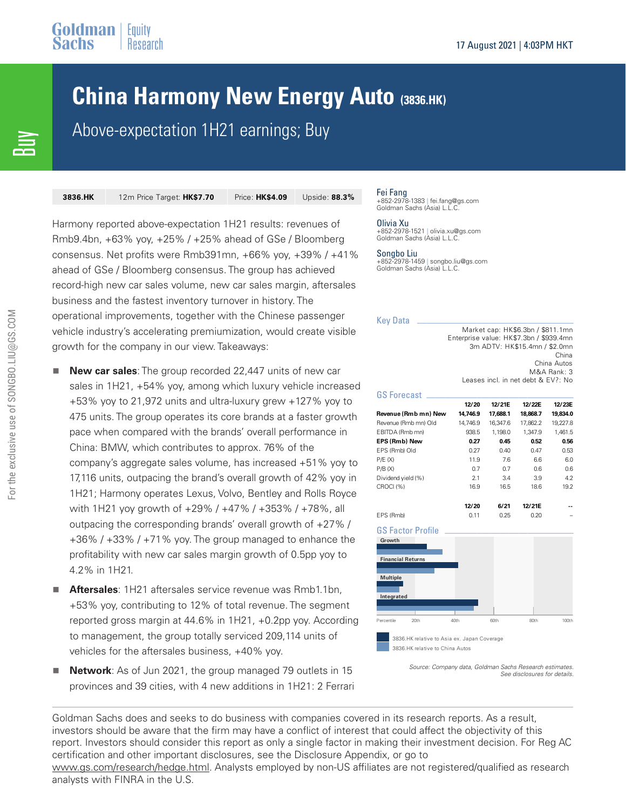# **China Harmony New Energy Auto (3836.HK)**

Above-expectation 1H21 earnings; Buy

| 3836.HK | 12m Price Target: HK\$7.70 | Price: <b>HK\$4.09</b> | Upside: 88.3% |
|---------|----------------------------|------------------------|---------------|
|---------|----------------------------|------------------------|---------------|

Harmony reported above-expectation 1H21 results: revenues of Rmb9.4bn, +63% yoy, +25% / +25% ahead of GSe / Bloomberg consensus. Net profits were Rmb391mn, +66% yoy, +39% / +41% ahead of GSe / Bloomberg consensus. The group has achieved record-high new car sales volume, new car sales margin, aftersales business and the fastest inventory turnover in history. The operational improvements, together with the Chinese passenger vehicle industry's accelerating premiumization, would create visible growth for the company in our view. Takeaways:

- **New car sales**: The group recorded 22,447 units of new car sales in 1H21, +54% yoy, among which luxury vehicle increased +53% yoy to 21,972 units and ultra-luxury grew +127% yoy to 475 units. The group operates its core brands at a faster growth pace when compared with the brands' overall performance in China: BMW, which contributes to approx. 76% of the company's aggregate sales volume, has increased +51% yoy to 17,116 units, outpacing the brand's overall growth of 42% yoy in 1H21; Harmony operates Lexus, Volvo, Bentley and Rolls Royce with 1H21 yoy growth of +29% / +47% / +353% / +78%, all outpacing the corresponding brands' overall growth of +27% / +36% / +33% / +71% yoy. The group managed to enhance the profitability with new car sales margin growth of 0.5pp yoy to 4.2% in 1H21.
- **Aftersales**: 1H21 aftersales service revenue was Rmb1.1bn, +53% yoy, contributing to 12% of total revenue. The segment reported gross margin at 44.6% in 1H21, +0.2pp yoy. According to management, the group totally serviced 209,114 units of vehicles for the aftersales business, +40% yoy.
- **Network**: As of Jun 2021, the group managed 79 outlets in 15 provinces and 39 cities, with 4 new additions in 1H21: 2 Ferrari

Fei Fang +852-2978-1383 | [fei.fang@gs.com](mailto:fei.fang@gs.com?subject=Above-expectation%201H21%20earnings%3B%20Buy) Goldman Sachs (Asia) L.L.C.

Olivia Xu

+852-2978-1521 | [olivia.xu@gs.com](mailto:olivia.xu@gs.com?subject=Above-expectation%201H21%20earnings%3B%20Buy) Goldman Sachs (Asia) L.L.C.

Songbo Liu

+852-2978-1459 | [songbo.liu@gs.com](mailto:songbo.liu@gs.com?subject=Above-expectation%201H21%20earnings%3B%20Buy) Goldman Sachs (Asia) L.L.C.

#### Key Data \_\_\_\_\_\_\_\_\_\_\_\_\_\_\_\_\_\_\_\_\_\_\_\_\_\_\_\_\_\_\_\_\_\_

Market cap: HK\$6.3bn / \$811.1mn Enterprise value: HK\$7.3bn / \$939.4mn 3m ADTV: HK\$15.4mn / \$2.0mn China China Autos M&A Rank: 3 Leases incl. in net debt & EV?: No

| <b>GS Forecast</b>   |          |          |          |          |
|----------------------|----------|----------|----------|----------|
|                      | 12/20    | 12/21E   | 12/22E   | 12/23E   |
| Revenue (Rmb mn) New | 14.746.9 | 17.688.1 | 18.868.7 | 19.834.0 |
| Revenue (Rmb mn) Old | 14.746.9 | 16.347.6 | 17.862.2 | 19.227.8 |
| EBITDA (Rmb mn)      | 938.5    | 1.198.0  | 1.347.9  | 1.461.5  |
| EPS (Rmb) New        | 0.27     | 0.45     | 0.52     | 0.56     |
| EPS (Rmb) Old        | 0.27     | 0.40     | 0.47     | 0.53     |
| P/E(X)               | 11.9     | 7.6      | 6.6      | 6.0      |
| P/B(X)               | 0.7      | 0.7      | 0.6      | 0.6      |
| Dividend yield (%)   | 2.1      | 3.4      | 3.9      | 4.2      |
| CROCI(%)             | 16.9     | 16.5     | 18.6     | 19.2     |
|                      |          |          |          |          |
|                      | 12/20    | 6121     | 12/21日   |          |

**12/20 6/21 12/21E --** EPS (Rmb) 0.11 0.25 0.20 --

**GS Factor Profile** 



3836.HK relative to Asia ex. Japan Coverage 3836.HK relative to China Autos

> Source: Company data, Goldman Sachs Research estimates. See disclosures for details.

Goldman Sachs does and seeks to do business with companies covered in its research reports. As a result, investors should be aware that the firm may have a conflict of interest that could affect the objectivity of this report. Investors should consider this report as only a single factor in making their investment decision. For Reg AC certification and other important disclosures, see the Disclosure Appendix, or go to

[www.gs.com/research/hedge.html.](https://www.gs.com/research/hedge.html) Analysts employed by non-US affiliates are not registered/qualified as research analysts with FINRA in the U.S.

 $\Xi$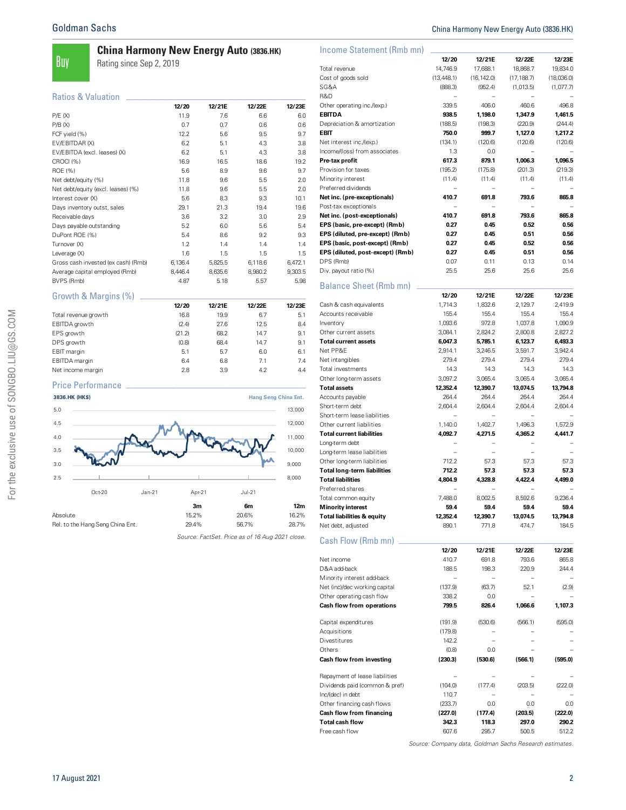# **China Harmony New Energy Auto (3836.HK)**

Buy Rating since Sep 2, 2019

#### Ratios & Valuation \_\_\_\_\_\_\_\_\_\_\_\_\_\_\_\_\_\_\_\_\_\_\_\_\_\_\_\_\_\_\_\_\_\_\_\_\_\_\_

|                                     | 12/20   | 12/21E  | 12/22E  | 12/23E  |
|-------------------------------------|---------|---------|---------|---------|
| P/E(X)                              | 11.9    | 7.6     | 6.6     | 6.0     |
| P/B(X)                              | 0.7     | 0.7     | 0.6     | 0.6     |
| FCF yield (%)                       | 12.2    | 5.6     | 9.5     | 9.7     |
| EV/EBITDAR (X)                      | 6.2     | 5.1     | 4.3     | 3.8     |
| EV/EBITDA (excl. leases) (X)        | 6.2     | 5.1     | 4.3     | 3.8     |
| CROCI (%)                           | 16.9    | 16.5    | 18.6    | 19.2    |
| ROE (%)                             | 5.6     | 8.9     | 9.6     | 9.7     |
| Net debt/equity (%)                 | 11.8    | 9.6     | 5.5     | 2.0     |
| Net debt/equity (excl. leases) (%)  | 11.8    | 9.6     | 5.5     | 2.0     |
| Interest cover (X)                  | 5.6     | 8.3     | 9.3     | 10.1    |
| Days inventory outst, sales         | 29.1    | 21.3    | 19.4    | 19.6    |
| Receivable days                     | 3.6     | 3.2     | 3.0     | 2.9     |
| Days payable outstanding            | 5.2     | 6.0     | 5.6     | 5.4     |
| DuPont ROE (%)                      | 5.4     | 8.6     | 9.2     | 9.3     |
| Turnover (X)                        | 1.2     | 1.4     | 1.4     | 1.4     |
| Leverage (X)                        | 1.6     | 1.5     | 1.5     | 1.5     |
| Gross cash invested (ex cash) (Rmb) | 6,136.4 | 5,825.5 | 6,118.6 | 6,472.1 |
| Average capital employed (Rmb)      | 8,446.4 | 8,635.6 | 8,980.2 | 9,303.5 |
| BVPS (Rmb)                          | 4.87    | 5.18    | 5.57    | 5.98    |
|                                     |         |         |         |         |

#### Growth & Margins (%) \_\_\_\_\_\_\_\_\_\_\_\_\_\_\_\_\_\_\_\_\_\_\_\_\_\_\_\_\_\_\_\_\_\_\_\_

|                      | 12/20  | 12/21E | 12/22E | 12/23E |
|----------------------|--------|--------|--------|--------|
| Total revenue growth | 16.8   | 19.9   | 6.7    | 5.1    |
| EBITDA growth        | (2.4)  | 27.6   | 12.5   | 8.4    |
| EPS growth           | (21.2) | 68.2   | 14.7   | 9.1    |
| DPS growth           | (0.8)  | 68.4   | 14.7   | 9.1    |
| EBIT margin          | 5.1    | 5.7    | 6.0    | 6.1    |
| EBITDA margin        | 6.4    | 6.8    | 7.1    | 7.4    |
| Net income margin    | 2.8    | 3.9    | 4.2    | 4.4    |
|                      |        |        |        |        |



Source: FactSet. Price as of 16 Aug 2021 close.

|  |  |  | China Harmony New Energy Auto (3836.HK) |  |  |  |  |  |  |  |
|--|--|--|-----------------------------------------|--|--|--|--|--|--|--|
|--|--|--|-----------------------------------------|--|--|--|--|--|--|--|

| Income Statement (Rmb mn)                                     |                          |                          |                  |                  |
|---------------------------------------------------------------|--------------------------|--------------------------|------------------|------------------|
|                                                               | 12/20                    | 12/21E                   | 12/22E           | 12/23E           |
| Total revenue                                                 | 14,746.9                 | 17,688.1                 | 18,868.7         | 19,834.0         |
| Cost of goods sold                                            | (13, 448.1)              | (16, 142.0)              | (17, 188.7)      | (18,036.0)       |
| SG&A<br>R&D                                                   | (888.3)                  | (952.4)                  | (1,013.5)        | (1,077.7)        |
| Other operating inc./(exp.)                                   | 339.5                    | 406.0                    | 460.6            | 496.8            |
| <b>EBITDA</b>                                                 | 938.5                    | 1,198.0                  | 1,347.9          | 1,461.5          |
| Depreciation & amortization                                   | (188.5)                  | (198.3)                  | (220.9)          | (244.4)          |
| <b>EBIT</b>                                                   | 750.0                    | 999.7                    | 1,127.0          | 1,217.2          |
| Net interest inc./(exp.)                                      | (134.1)                  | (120.6)                  | (120.6)          | (120.6)          |
| Income/(loss) from associates                                 | 1.3                      | 0.0                      |                  |                  |
| Pre-tax profit                                                | 617.3                    | 879.1                    | 1,006.3          | 1,096.5          |
| Provision for taxes                                           | (195.2)                  | (175.8)                  | (201.3)          | (219.3)          |
| Minority interest                                             | (11.4)                   | (11.4)                   | (11.4)           | (11.4)           |
| Preferred dividends                                           | $\overline{\phantom{0}}$ | $\equiv$                 |                  |                  |
| Net inc. (pre-exceptionals)                                   | 410.7                    | 691.8                    | 793.6            | 865.8            |
| Post-tax exceptionals                                         | 410.7                    | 691.8                    | 793.6            | 865.8            |
| Net inc. (post-exceptionals)<br>EPS (basic, pre-except) (Rmb) | 0.27                     | 0.45                     | 0.52             | 0.56             |
| EPS (diluted, pre-except) (Rmb)                               | 0.27                     | 0.45                     | 0.51             | 0.56             |
| EPS (basic, post-except) (Rmb)                                | 0.27                     | 0.45                     | 0.52             | 0.56             |
| EPS (diluted, post-except) (Rmb)                              | 0.27                     | 0.45                     | 0.51             | 0.56             |
| DPS (Rmb)                                                     | 0.07                     | 0.11                     | 0.13             | 0.14             |
| Div. payout ratio (%)                                         | 25.5                     | 25.6                     | 25.6             | 25.6             |
| <b>Balance Sheet (Rmb mn)</b>                                 |                          |                          |                  |                  |
|                                                               | 12/20                    | 12/21E                   | 12/22E           | 12/23E           |
| Cash & cash equivalents                                       | 1,714.3                  | 1,832.6                  | 2,129.7          | 2,419.9          |
| Accounts receivable                                           | 155.4                    | 155.4                    | 155.4            | 155.4            |
| Inventory                                                     | 1,093.6                  | 972.8                    | 1.037.8          | 1,090.9          |
| Other current assets                                          | 3,084.1                  | 2,824.2                  | 2,800.8          | 2,827.2          |
| <b>Total current assets</b><br>Net PP&E                       | 6,047.3                  | 5,785.1                  | 6,123.7          | 6,493.3          |
| Net intangibles                                               | 2,914.1<br>279.4         | 3,246.5<br>279.4         | 3,591.7<br>279.4 | 3,942.4<br>279.4 |
| Total investments                                             | 14.3                     | 14.3                     | 14.3             | 14.3             |
| Other long-term assets                                        | 3,097.2                  | 3,065.4                  | 3,065.4          | 3,065.4          |
| <b>Total assets</b>                                           | 12,352.4                 | 12,390.7                 | 13,074.5         | 13,794.8         |
| Accounts payable                                              | 264.4                    | 264.4                    | 264.4            | 264.4            |
| Short-term debt                                               | 2,604.4                  | 2,604.4                  | 2,604.4          | 2,604.4          |
| Short-term lease liabilities                                  |                          |                          |                  |                  |
| Other current liabilities                                     | 1,140.0                  | 1,402.7                  | 1,496.3          | 1,572.9          |
| <b>Total current liabilities</b>                              | 4,092.7                  | 4,271.5                  | 4,365.2          | 4,441.7          |
| Long-term debt                                                |                          | $\overline{\phantom{a}}$ |                  |                  |
| Long-term lease liabilities                                   |                          |                          |                  |                  |
| Other long-term liabilities                                   | 712.2                    | 57.3                     | 57.3             | 57.3             |
| <b>Total long-term liabilities</b>                            | 712.2                    | 57.3                     | 57.3             | 57.3             |
| <b>Total liabilities</b>                                      | 4.804.9                  | 4.328.8                  | 4.422.4          | 4.499.0          |
| Preferred shares                                              | $\overline{\phantom{0}}$ |                          |                  |                  |
| Total common equity<br><b>Minority interest</b>               | 7,488.0<br>59.4          | 8,002.5<br>59.4          | 8,592.6<br>59.4  | 9,236.4<br>59.4  |
| <b>Total liabilities &amp; equity</b>                         | 12,352.4                 | 12,390.7                 | 13,074.5         | 13,794.8         |
| Net debt, adjusted                                            | 890.1                    | 771.8                    | 474.7            | 184.5            |
|                                                               |                          |                          |                  |                  |
| Cash Flow (Rmb mn)                                            | 12/20                    | 12/21E                   | 12/22E           | 12/23E           |
| Net income                                                    | 410.7                    | 691.8                    | 793.6            | 865.8            |
| D&A add-back                                                  | 188.5                    | 198.3                    | 220.9            | 244.4            |
| Minority interest add-back                                    |                          | $\overline{\phantom{m}}$ |                  |                  |
| Net (inc)/dec working capital                                 | (137.9)                  | (63.7)                   | 52.1             | (2.9)            |
| Other operating cash flow                                     | 338.2                    | 0.0                      |                  |                  |
| Cash flow from operations                                     | 799.5                    | 826.4                    | 1,066.6          | 1,107.3          |
| Capital expenditures                                          | (191.9)                  | (530.6)                  | (566.1)          | (595.0)          |
| Acquisitions                                                  | (179.8)                  |                          |                  |                  |
| Divestitures                                                  | 142.2                    |                          |                  |                  |
| Others<br>Cash flow from investing                            | (0.8)<br>(230.3)         | 0.0<br>(530.6)           | (566.1)          | (595.0)          |
| Repayment of lease liabilities                                |                          |                          |                  |                  |
| Dividends paid (common & pref)                                | (104.0)                  | (177.4)                  | (203.5)          | (222.0)          |
| Inc/(dec) in debt                                             | 110.7                    | $\overline{\phantom{a}}$ |                  |                  |
| Other financing cash flows                                    | (233.7)                  | 0.0                      | 0.0              | 0.0              |
| Cash flow from financing                                      | (227.0)                  | (177.4)                  | (203.5)          | (222.0)          |
| <b>Total cash flow</b>                                        | 342.3                    | 118.3                    | 297.0            | 290.2            |
| Free cash flow                                                | 607.6                    | 295.7                    | 500.5            | 512.2            |

Source: Company data, Goldman Sachs Research estimates.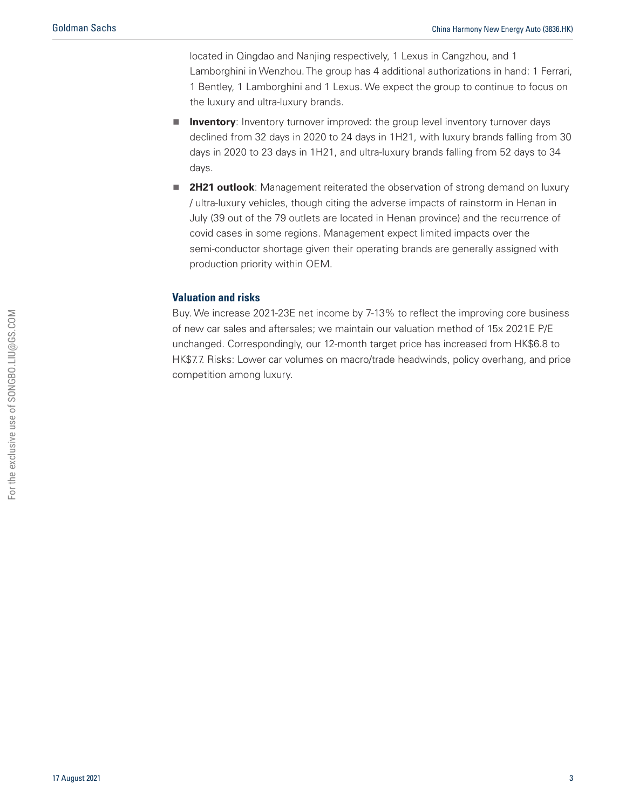located in Qingdao and Nanjing respectively, 1 Lexus in Cangzhou, and 1 Lamborghini in Wenzhou. The group has 4 additional authorizations in hand: 1 Ferrari, 1 Bentley, 1 Lamborghini and 1 Lexus. We expect the group to continue to focus on the luxury and ultra-luxury brands.

- **n Inventory**: Inventory turnover improved: the group level inventory turnover days declined from 32 days in 2020 to 24 days in 1H21, with luxury brands falling from 30 days in 2020 to 23 days in 1H21, and ultra-luxury brands falling from 52 days to 34 days.
- **2H21 outlook**: Management reiterated the observation of strong demand on luxury / ultra-luxury vehicles, though citing the adverse impacts of rainstorm in Henan in July (39 out of the 79 outlets are located in Henan province) and the recurrence of covid cases in some regions. Management expect limited impacts over the semi-conductor shortage given their operating brands are generally assigned with production priority within OEM.

## **Valuation and risks**

Buy. We increase 2021-23E net income by 7-13% to reflect the improving core business of new car sales and aftersales; we maintain our valuation method of 15x 2021E P/E unchanged. Correspondingly, our 12-month target price has increased from HK\$6.8 to HK\$7.7. Risks: Lower car volumes on macro/trade headwinds, policy overhang, and price competition among luxury.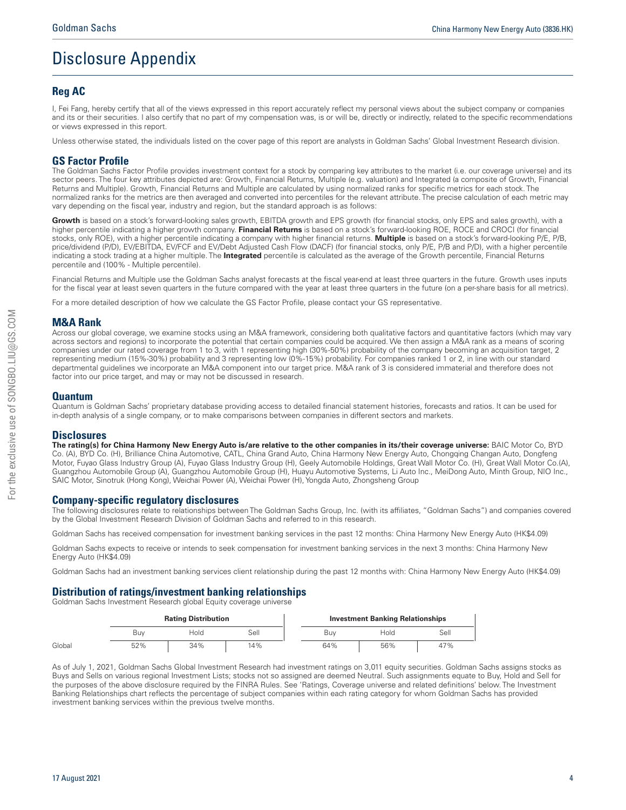# Disclosure Appendix

# **Reg AC**

I, Fei Fang, hereby certify that all of the views expressed in this report accurately reflect my personal views about the subject company or companies and its or their securities. I also certify that no part of my compensation was, is or will be, directly or indirectly, related to the specific recommendations or views expressed in this report.

Unless otherwise stated, the individuals listed on the cover page of this report are analysts in Goldman Sachs' Global Investment Research division.

## **GS Factor Profile**

The Goldman Sachs Factor Profile provides investment context for a stock by comparing key attributes to the market (i.e. our coverage universe) and its sector peers. The four key attributes depicted are: Growth, Financial Returns, Multiple (e.g. valuation) and Integrated (a composite of Growth, Financial Returns and Multiple). Growth, Financial Returns and Multiple are calculated by using normalized ranks for specific metrics for each stock. The normalized ranks for the metrics are then averaged and converted into percentiles for the relevant attribute. The precise calculation of each metric may vary depending on the fiscal year, industry and region, but the standard approach is as follows:

Growth is based on a stock's forward-looking sales growth, EBITDA growth and EPS growth (for financial stocks, only EPS and sales growth), with a higher percentile indicating a higher growth company. **Financial Returns** is based on a stock's forward-looking ROE, ROCE and CROCI (for financial stocks, only ROE), with a higher percentile indicating a company with higher financial returns. **Multiple** is based on a stock's forward-looking P/E, P/B, price/dividend (P/D), EV/EBITDA, EV/FCF and EV/Debt Adjusted Cash Flow (DACF) (for financial stocks, only P/E, P/B and P/D), with a higher percentile indicating a stock trading at a higher multiple. The **Integrated** percentile is calculated as the average of the Growth percentile, Financial Returns percentile and (100% - Multiple percentile).

Financial Returns and Multiple use the Goldman Sachs analyst forecasts at the fiscal year-end at least three quarters in the future. Growth uses inputs for the fiscal year at least seven quarters in the future compared with the year at least three quarters in the future (on a per-share basis for all metrics).

For a more detailed description of how we calculate the GS Factor Profile, please contact your GS representative.

#### **M&A Rank**

Across our global coverage, we examine stocks using an M&A framework, considering both qualitative factors and quantitative factors (which may vary across sectors and regions) to incorporate the potential that certain companies could be acquired. We then assign a M&A rank as a means of scoring companies under our rated coverage from 1 to 3, with 1 representing high (30%-50%) probability of the company becoming an acquisition target, 2 representing medium (15%-30%) probability and 3 representing low (0%-15%) probability. For companies ranked 1 or 2, in line with our standard departmental guidelines we incorporate an M&A component into our target price. M&A rank of 3 is considered immaterial and therefore does not factor into our price target, and may or may not be discussed in research.

#### **Quantum**

Quantum is Goldman Sachs' proprietary database providing access to detailed financial statement histories, forecasts and ratios. It can be used for in-depth analysis of a single company, or to make comparisons between companies in different sectors and markets.

#### **Disclosures**

**The rating(s) for China Harmony New Energy Auto is/are relative to the other companies in its/their coverage universe:** BAIC Motor Co, BYD Co. (A), BYD Co. (H), Brilliance China Automotive, CATL, China Grand Auto, China Harmony New Energy Auto, Chongqing Changan Auto, Dongfeng Motor, Fuyao Glass Industry Group (A), Fuyao Glass Industry Group (H), Geely Automobile Holdings, Great Wall Motor Co. (H), Great Wall Motor Co.(A), Guangzhou Automobile Group (A), Guangzhou Automobile Group (H), Huayu Automotive Systems, Li Auto Inc., MeiDong Auto, Minth Group, NIO Inc., SAIC Motor, Sinotruk (Hong Kong), Weichai Power (A), Weichai Power (H), Yongda Auto, Zhongsheng Group

#### **Company-specific regulatory disclosures**

The following disclosures relate to relationships between The Goldman Sachs Group, Inc. (with its affiliates, "Goldman Sachs") and companies covered by the Global Investment Research Division of Goldman Sachs and referred to in this research.

Goldman Sachs has received compensation for investment banking services in the past 12 months: China Harmony New Energy Auto (HK\$4.09)

Goldman Sachs expects to receive or intends to seek compensation for investment banking services in the next 3 months: China Harmony New Energy Auto (HK\$4.09)

Goldman Sachs had an investment banking services client relationship during the past 12 months with: China Harmony New Energy Auto (HK\$4.09)

#### **Distribution of ratings/investment banking relationships**

Goldman Sachs Investment Research global Equity coverage universe

|        | <b>Rating Distribution</b> |      |      |     | <b>Investment Banking Relationships</b> |      |
|--------|----------------------------|------|------|-----|-----------------------------------------|------|
|        | Buv                        | Hold | Sell | Buv | Hold                                    | Sell |
| Global | 52%                        | 34%  | 14%  | 64% | 56%                                     | 47%  |

As of July 1, 2021, Goldman Sachs Global Investment Research had investment ratings on 3,011 equity securities. Goldman Sachs assigns stocks as Buys and Sells on various regional Investment Lists; stocks not so assigned are deemed Neutral. Such assignments equate to Buy, Hold and Sell for the purposes of the above disclosure required by the FINRA Rules. See 'Ratings, Coverage universe and related definitions' below. The Investment Banking Relationships chart reflects the percentage of subject companies within each rating category for whom Goldman Sachs has provided investment banking services within the previous twelve months.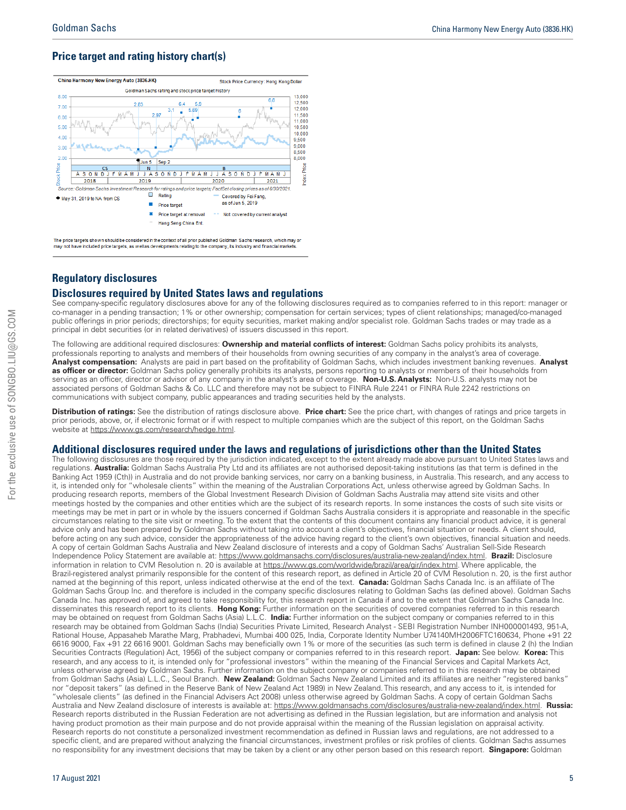# **Price target and rating history chart(s)**



.<br>The price targets shown should be considered in the context of all prior published Goldman Sachs research, which may or may not have included price targets, as well as developments relating to the company, its industry and financial markets

# **Regulatory disclosures**

#### **Disclosures required by United States laws and regulations**

See company-specific regulatory disclosures above for any of the following disclosures required as to companies referred to in this report: manager or co-manager in a pending transaction; 1% or other ownership; compensation for certain services; types of client relationships; managed/co-managed public offerings in prior periods; directorships; for equity securities, market making and/or specialist role. Goldman Sachs trades or may trade as a principal in debt securities (or in related derivatives) of issuers discussed in this report.

The following are additional required disclosures: **Ownership and material conflicts of interest:** Goldman Sachs policy prohibits its analysts, professionals reporting to analysts and members of their households from owning securities of any company in the analyst's area of coverage. **Analyst compensation:** Analysts are paid in part based on the profitability of Goldman Sachs, which includes investment banking revenues. **Analyst** as officer or director: Goldman Sachs policy generally prohibits its analysts, persons reporting to analysts or members of their households from serving as an officer, director or advisor of any company in the analyst's area of coverage. **Non-U.S. Analysts:** Non-U.S. analysts may not be associated persons of Goldman Sachs & Co. LLC and therefore may not be subject to FINRA Rule 2241 or FINRA Rule 2242 restrictions on communications with subject company, public appearances and trading securities held by the analysts.

**Distribution of ratings:** See the distribution of ratings disclosure above. **Price chart:** See the price chart, with changes of ratings and price targets in prior periods, above, or, if electronic format or if with respect to multiple companies which are the subject of this report, on the Goldman Sachs website at [https://www.gs.com/research/hedge.html.](https://www.gs.com/research/hedge.html)

#### **Additional disclosures required under the laws and regulations of jurisdictions other than the United States**

The following disclosures are those required by the jurisdiction indicated, except to the extent already made above pursuant to United States laws and regulations. **Australia:** Goldman Sachs Australia Pty Ltd and its affiliates are not authorised deposit-taking institutions (as that term is defined in the Banking Act 1959 (Cth)) in Australia and do not provide banking services, nor carry on a banking business, in Australia. This research, and any access to it, is intended only for "wholesale clients" within the meaning of the Australian Corporations Act, unless otherwise agreed by Goldman Sachs. In producing research reports, members of the Global Investment Research Division of Goldman Sachs Australia may attend site visits and other meetings hosted by the companies and other entities which are the subject of its research reports. In some instances the costs of such site visits or meetings may be met in part or in whole by the issuers concerned if Goldman Sachs Australia considers it is appropriate and reasonable in the specific circumstances relating to the site visit or meeting. To the extent that the contents of this document contains any financial product advice, it is general advice only and has been prepared by Goldman Sachs without taking into account a client's objectives, financial situation or needs. A client should, before acting on any such advice, consider the appropriateness of the advice having regard to the client's own objectives, financial situation and needs. A copy of certain Goldman Sachs Australia and New Zealand disclosure of interests and a copy of Goldman Sachs' Australian Sell-Side Research Independence Policy Statement are available at: [https://www.goldmansachs.com/disclosures/australia-new-zealand/index.html.](https://www.goldmansachs.com/disclosures/australia-new-zealand/index.html) **Brazil:** Disclosure information in relation to CVM Resolution n. 20 is available at [https://www.gs.com/worldwide/brazil/area/gir/index.html.](https://www.gs.com/worldwide/brazil/area/gir/index.html) Where applicable, the Brazil-registered analyst primarily responsible for the content of this research report, as defined in Article 20 of CVM Resolution n. 20, is the first author named at the beginning of this report, unless indicated otherwise at the end of the text. **Canada:** Goldman Sachs Canada Inc. is an affiliate of The Goldman Sachs Group Inc. and therefore is included in the company specific disclosures relating to Goldman Sachs (as defined above). Goldman Sachs Canada Inc. has approved of, and agreed to take responsibility for, this research report in Canada if and to the extent that Goldman Sachs Canada Inc. disseminates this research report to its clients. **Hong Kong:** Further information on the securities of covered companies referred to in this research may be obtained on request from Goldman Sachs (Asia) L.L.C. **India:** Further information on the subject company or companies referred to in this research may be obtained from Goldman Sachs (India) Securities Private Limited, Research Analyst - SEBI Registration Number INH000001493, 951-A, Rational House, Appasaheb Marathe Marg, Prabhadevi, Mumbai 400 025, India, Corporate Identity Number U74140MH2006FTC160634, Phone +91 22 6616 9000, Fax +91 22 6616 9001. Goldman Sachs may beneficially own 1% or more of the securities (as such term is defined in clause 2 (h) the Indian Securities Contracts (Regulation) Act, 1956) of the subject company or companies referred to in this research report. **Japan:** See below. **Korea:** This research, and any access to it, is intended only for "professional investors" within the meaning of the Financial Services and Capital Markets Act, unless otherwise agreed by Goldman Sachs. Further information on the subject company or companies referred to in this research may be obtained from Goldman Sachs (Asia) L.L.C., Seoul Branch. **New Zealand:** Goldman Sachs New Zealand Limited and its affiliates are neither "registered banks" nor "deposit takers" (as defined in the Reserve Bank of New Zealand Act 1989) in New Zealand. This research, and any access to it, is intended for "wholesale clients" (as defined in the Financial Advisers Act 2008) unless otherwise agreed by Goldman Sachs. A copy of certain Goldman Sachs Australia and New Zealand disclosure of interests is available at: [https://www.goldmansachs.com/disclosures/australia-new-zealand/index.html.](https://www.goldmansachs.com/disclosures/australia-new-zealand/index.html) **Russia:** Research reports distributed in the Russian Federation are not advertising as defined in the Russian legislation, but are information and analysis not having product promotion as their main purpose and do not provide appraisal within the meaning of the Russian legislation on appraisal activity. Research reports do not constitute a personalized investment recommendation as defined in Russian laws and regulations, are not addressed to a specific client, and are prepared without analyzing the financial circumstances, investment profiles or risk profiles of clients. Goldman Sachs assumes no responsibility for any investment decisions that may be taken by a client or any other person based on this research report. **Singapore:** Goldman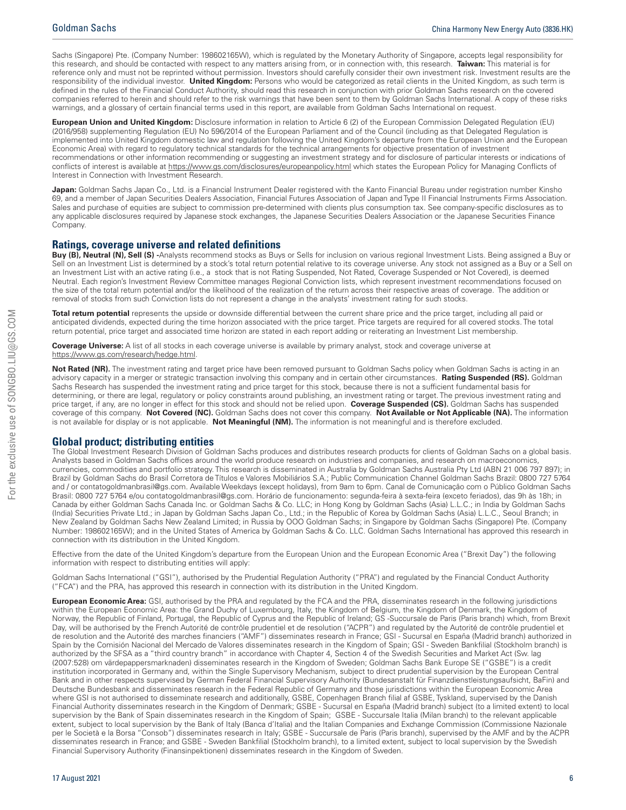Sachs (Singapore) Pte. (Company Number: 198602165W), which is regulated by the Monetary Authority of Singapore, accepts legal responsibility for this research, and should be contacted with respect to any matters arising from, or in connection with, this research. **Taiwan:** This material is for reference only and must not be reprinted without permission. Investors should carefully consider their own investment risk. Investment results are the responsibility of the individual investor. **United Kingdom:** Persons who would be categorized as retail clients in the United Kingdom, as such term is defined in the rules of the Financial Conduct Authority, should read this research in conjunction with prior Goldman Sachs research on the covered companies referred to herein and should refer to the risk warnings that have been sent to them by Goldman Sachs International. A copy of these risks warnings, and a glossary of certain financial terms used in this report, are available from Goldman Sachs International on request.

**European Union and United Kingdom:** Disclosure information in relation to Article 6 (2) of the European Commission Delegated Regulation (EU) (2016/958) supplementing Regulation (EU) No 596/2014 of the European Parliament and of the Council (including as that Delegated Regulation is implemented into United Kingdom domestic law and regulation following the United Kingdom's departure from the European Union and the European Economic Area) with regard to regulatory technical standards for the technical arrangements for objective presentation of investment recommendations or other information recommending or suggesting an investment strategy and for disclosure of particular interests or indications of conflicts of interest is available at<https://www.gs.com/disclosures/europeanpolicy.html>which states the European Policy for Managing Conflicts of Interest in Connection with Investment Research.

**Japan:** Goldman Sachs Japan Co., Ltd. is a Financial Instrument Dealer registered with the Kanto Financial Bureau under registration number Kinsho 69, and a member of Japan Securities Dealers Association, Financial Futures Association of Japan and Type II Financial Instruments Firms Association. Sales and purchase of equities are subject to commission pre-determined with clients plus consumption tax. See company-specific disclosures as to any applicable disclosures required by Japanese stock exchanges, the Japanese Securities Dealers Association or the Japanese Securities Finance Company.

#### **Ratings, coverage universe and related definitions**

**Buy (B), Neutral (N), Sell (S) -**Analysts recommend stocks as Buys or Sells for inclusion on various regional Investment Lists. Being assigned a Buy or Sell on an Investment List is determined by a stock's total return potential relative to its coverage universe. Any stock not assigned as a Buy or a Sell on an Investment List with an active rating (i.e., a stock that is not Rating Suspended, Not Rated, Coverage Suspended or Not Covered), is deemed Neutral. Each region's Investment Review Committee manages Regional Conviction lists, which represent investment recommendations focused on the size of the total return potential and/or the likelihood of the realization of the return across their respective areas of coverage. The addition or removal of stocks from such Conviction lists do not represent a change in the analysts' investment rating for such stocks.

**Total return potential** represents the upside or downside differential between the current share price and the price target, including all paid or anticipated dividends, expected during the time horizon associated with the price target. Price targets are required for all covered stocks. The total return potential, price target and associated time horizon are stated in each report adding or reiterating an Investment List membership.

**Coverage Universe:** A list of all stocks in each coverage universe is available by primary analyst, stock and coverage universe at [https://www.gs.com/research/hedge.html.](https://www.gs.com/research/hedge.html)

**Not Rated (NR).** The investment rating and target price have been removed pursuant to Goldman Sachs policy when Goldman Sachs is acting in an advisory capacity in a merger or strategic transaction involving this company and in certain other circumstances. **Rating Suspended (RS).** Goldman Sachs Research has suspended the investment rating and price target for this stock, because there is not a sufficient fundamental basis for determining, or there are legal, regulatory or policy constraints around publishing, an investment rating or target. The previous investment rating and price target, if any, are no longer in effect for this stock and should not be relied upon. **Coverage Suspended (CS).** Goldman Sachs has suspended coverage of this company. **Not Covered (NC).** Goldman Sachs does not cover this company. **Not Available or Not Applicable (NA).** The information is not available for display or is not applicable. **Not Meaningful (NM).** The information is not meaningful and is therefore excluded.

#### **Global product; distributing entities**

The Global Investment Research Division of Goldman Sachs produces and distributes research products for clients of Goldman Sachs on a global basis. Analysts based in Goldman Sachs offices around the world produce research on industries and companies, and research on macroeconomics, currencies, commodities and portfolio strategy. This research is disseminated in Australia by Goldman Sachs Australia Pty Ltd (ABN 21 006 797 897); in Brazil by Goldman Sachs do Brasil Corretora de Títulos e Valores Mobiliários S.A.; Public Communication Channel Goldman Sachs Brazil: 0800 727 5764 and / or contatogoldmanbrasil@gs.com. Available Weekdays (except holidays), from 9am to 6pm. Canal de Comunicação com o Público Goldman Sachs Brasil: 0800 727 5764 e/ou contatogoldmanbrasil@gs.com. Horário de funcionamento: segunda-feira à sexta-feira (exceto feriados), das 9h às 18h; in Canada by either Goldman Sachs Canada Inc. or Goldman Sachs & Co. LLC; in Hong Kong by Goldman Sachs (Asia) L.L.C.; in India by Goldman Sachs (India) Securities Private Ltd.; in Japan by Goldman Sachs Japan Co., Ltd.; in the Republic of Korea by Goldman Sachs (Asia) L.L.C., Seoul Branch; in New Zealand by Goldman Sachs New Zealand Limited; in Russia by OOO Goldman Sachs; in Singapore by Goldman Sachs (Singapore) Pte. (Company Number: 198602165W); and in the United States of America by Goldman Sachs & Co. LLC. Goldman Sachs International has approved this research in connection with its distribution in the United Kingdom.

Effective from the date of the United Kingdom's departure from the European Union and the European Economic Area ("Brexit Day") the following information with respect to distributing entities will apply:

Goldman Sachs International ("GSI"), authorised by the Prudential Regulation Authority ("PRA") and regulated by the Financial Conduct Authority ("FCA") and the PRA, has approved this research in connection with its distribution in the United Kingdom.

**European Economic Area:** GSI, authorised by the PRA and regulated by the FCA and the PRA, disseminates research in the following jurisdictions within the European Economic Area: the Grand Duchy of Luxembourg, Italy, the Kingdom of Belgium, the Kingdom of Denmark, the Kingdom of Norway, the Republic of Finland, Portugal, the Republic of Cyprus and the Republic of Ireland; GS -Succursale de Paris (Paris branch) which, from Brexit Day, will be authorised by the French Autorité de contrôle prudentiel et de resolution ("ACPR") and regulated by the Autorité de contrôle prudentiel et de resolution and the Autorité des marches financiers ("AMF") disseminates research in France; GSI - Sucursal en España (Madrid branch) authorized in Spain by the Comisión Nacional del Mercado de Valores disseminates research in the Kingdom of Spain; GSI - Sweden Bankfilial (Stockholm branch) is authorized by the SFSA as a "third country branch" in accordance with Chapter 4, Section 4 of the Swedish Securities and Market Act (Sw. lag (2007:528) om värdepappersmarknaden) disseminates research in the Kingdom of Sweden; Goldman Sachs Bank Europe SE ("GSBE") is a credit institution incorporated in Germany and, within the Single Supervisory Mechanism, subject to direct prudential supervision by the European Central Bank and in other respects supervised by German Federal Financial Supervisory Authority (Bundesanstalt für Finanzdienstleistungsaufsicht, BaFin) and Deutsche Bundesbank and disseminates research in the Federal Republic of Germany and those jurisdictions within the European Economic Area where GSI is not authorised to disseminate research and additionally, GSBE, Copenhagen Branch filial af GSBE, Tyskland, supervised by the Danish Financial Authority disseminates research in the Kingdom of Denmark; GSBE - Sucursal en España (Madrid branch) subject (to a limited extent) to local supervision by the Bank of Spain disseminates research in the Kingdom of Spain; GSBE - Succursale Italia (Milan branch) to the relevant applicable extent, subject to local supervision by the Bank of Italy (Banca d'Italia) and the Italian Companies and Exchange Commission (Commissione Nazionale per le Società e la Borsa "Consob") disseminates research in Italy; GSBE - Succursale de Paris (Paris branch), supervised by the AMF and by the ACPR disseminates research in France; and GSBE - Sweden Bankfilial (Stockholm branch), to a limited extent, subject to local supervision by the Swedish Financial Supervisory Authority (Finansinpektionen) disseminates research in the Kingdom of Sweden.